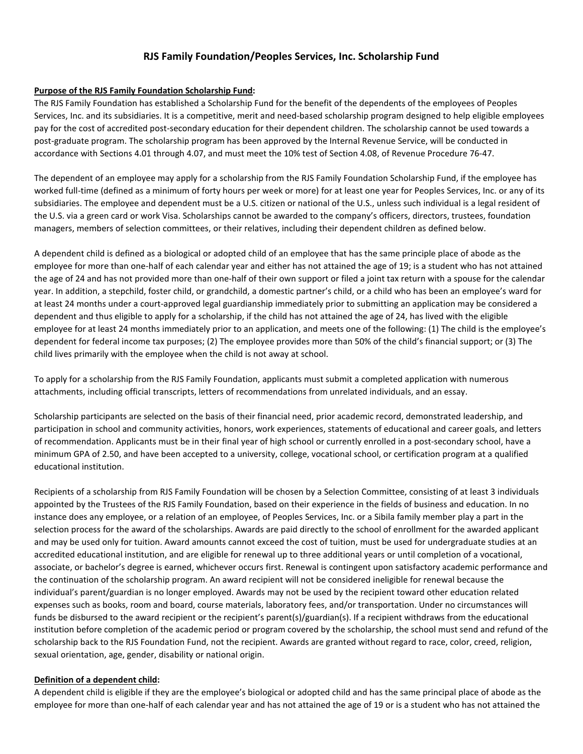# **RJS Family Foundation/Peoples Services, Inc. Scholarship Fund**

### **Purpose of the RJS Family Foundation Scholarship Fund:**

The RJS Family Foundation has established a Scholarship Fund for the benefit of the dependents of the employees of Peoples Services, Inc. and its subsidiaries. It is a competitive, merit and need-based scholarship program designed to help eligible employees pay for the cost of accredited post-secondary education for their dependent children. The scholarship cannot be used towards a post-graduate program. The scholarship program has been approved by the Internal Revenue Service, will be conducted in accordance with Sections 4.01 through 4.07, and must meet the 10% test of Section 4.08, of Revenue Procedure 76-47.

The dependent of an employee may apply for a scholarship from the RJS Family Foundation Scholarship Fund, if the employee has worked full-time (defined as a minimum of forty hours per week or more) for at least one year for Peoples Services, Inc. or any of its subsidiaries. The employee and dependent must be a U.S. citizen or national of the U.S., unless such individual is a legal resident of the U.S. via a green card or work Visa. Scholarships cannot be awarded to the company's officers, directors, trustees, foundation managers, members of selection committees, or their relatives, including their dependent children as defined below.

A dependent child is defined as a biological or adopted child of an employee that has the same principle place of abode as the employee for more than one-half of each calendar year and either has not attained the age of 19; is a student who has not attained the age of 24 and has not provided more than one-half of their own support or filed a joint tax return with a spouse for the calendar year. In addition, a stepchild, foster child, or grandchild, a domestic partner's child, or a child who has been an employee's ward for at least 24 months under a court-approved legal guardianship immediately prior to submitting an application may be considered a dependent and thus eligible to apply for a scholarship, if the child has not attained the age of 24, has lived with the eligible employee for at least 24 months immediately prior to an application, and meets one of the following: (1) The child is the employee's dependent for federal income tax purposes; (2) The employee provides more than 50% of the child's financial support; or (3) The child lives primarily with the employee when the child is not away at school.

To apply for a scholarship from the RJS Family Foundation, applicants must submit a completed application with numerous attachments, including official transcripts, letters of recommendations from unrelated individuals, and an essay.

Scholarship participants are selected on the basis of their financial need, prior academic record, demonstrated leadership, and participation in school and community activities, honors, work experiences, statements of educational and career goals, and letters of recommendation. Applicants must be in their final year of high school or currently enrolled in a post-secondary school, have a minimum GPA of 2.50, and have been accepted to a university, college, vocational school, or certification program at a qualified educational institution.

Recipients of a scholarship from RJS Family Foundation will be chosen by a Selection Committee, consisting of at least 3 individuals appointed by the Trustees of the RJS Family Foundation, based on their experience in the fields of business and education. In no instance does any employee, or a relation of an employee, of Peoples Services, Inc. or a Sibila family member play a part in the selection process for the award of the scholarships. Awards are paid directly to the school of enrollment for the awarded applicant and may be used only for tuition. Award amounts cannot exceed the cost of tuition, must be used for undergraduate studies at an accredited educational institution, and are eligible for renewal up to three additional years or until completion of a vocational, associate, or bachelor's degree is earned, whichever occurs first. Renewal is contingent upon satisfactory academic performance and the continuation of the scholarship program. An award recipient will not be considered ineligible for renewal because the individual's parent/guardian is no longer employed. Awards may not be used by the recipient toward other education related expenses such as books, room and board, course materials, laboratory fees, and/or transportation. Under no circumstances will funds be disbursed to the award recipient or the recipient's parent(s)/guardian(s). If a recipient withdraws from the educational institution before completion of the academic period or program covered by the scholarship, the school must send and refund of the scholarship back to the RJS Foundation Fund, not the recipient. Awards are granted without regard to race, color, creed, religion, sexual orientation, age, gender, disability or national origin.

#### **Definition of a dependent child:**

A dependent child is eligible if they are the employee's biological or adopted child and has the same principal place of abode as the employee for more than one-half of each calendar year and has not attained the age of 19 or is a student who has not attained the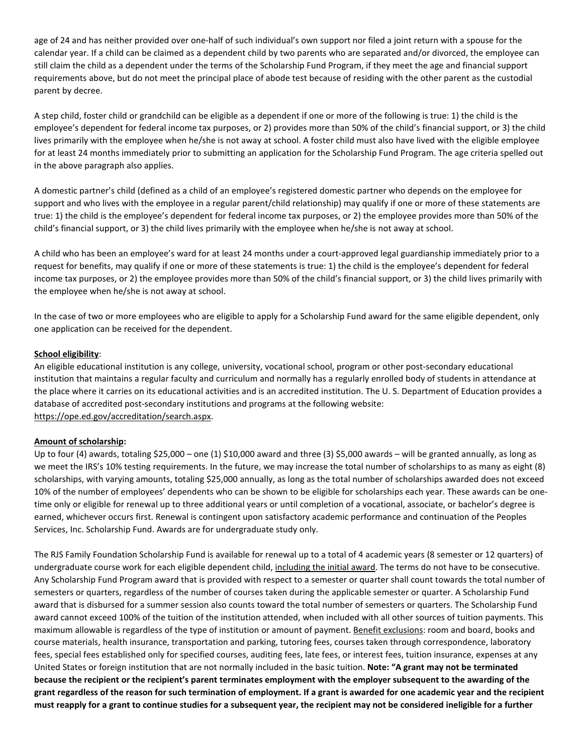age of 24 and has neither provided over one-half of such individual's own support nor filed a joint return with a spouse for the calendar year. If a child can be claimed as a dependent child by two parents who are separated and/or divorced, the employee can still claim the child as a dependent under the terms of the Scholarship Fund Program, if they meet the age and financial support requirements above, but do not meet the principal place of abode test because of residing with the other parent as the custodial parent by decree.

A step child, foster child or grandchild can be eligible as a dependent if one or more of the following is true: 1) the child is the employee's dependent for federal income tax purposes, or 2) provides more than 50% of the child's financial support, or 3) the child lives primarily with the employee when he/she is not away at school. A foster child must also have lived with the eligible employee for at least 24 months immediately prior to submitting an application for the Scholarship Fund Program. The age criteria spelled out in the above paragraph also applies.

A domestic partner's child (defined as a child of an employee's registered domestic partner who depends on the employee for support and who lives with the employee in a regular parent/child relationship) may qualify if one or more of these statements are true: 1) the child is the employee's dependent for federal income tax purposes, or 2) the employee provides more than 50% of the child's financial support, or 3) the child lives primarily with the employee when he/she is not away at school.

A child who has been an employee's ward for at least 24 months under a court-approved legal guardianship immediately prior to a request for benefits, may qualify if one or more of these statements is true: 1) the child is the employee's dependent for federal income tax purposes, or 2) the employee provides more than 50% of the child's financial support, or 3) the child lives primarily with the employee when he/she is not away at school.

In the case of two or more employees who are eligible to apply for a Scholarship Fund award for the same eligible dependent, only one application can be received for the dependent.

#### **School eligibility**:

An eligible educational institution is any college, university, vocational school, program or other post-secondary educational institution that maintains a regular faculty and curriculum and normally has a regularly enrolled body of students in attendance at the place where it carries on its educational activities and is an accredited institution. The U. S. Department of Education provides a database of accredited post-secondary institutions and programs at the following website: [https://ope.ed.gov/accreditation/search.aspx.](https://ope.ed.gov/accreditation/search.aspx)

## **Amount of scholarship:**

Up to four (4) awards, totaling \$25,000 – one (1) \$10,000 award and three (3) \$5,000 awards – will be granted annually, as long as we meet the IRS's 10% testing requirements. In the future, we may increase the total number of scholarships to as many as eight (8) scholarships, with varying amounts, totaling \$25,000 annually, as long as the total number of scholarships awarded does not exceed 10% of the number of employees' dependents who can be shown to be eligible for scholarships each year. These awards can be onetime only or eligible for renewal up to three additional years or until completion of a vocational, associate, or bachelor's degree is earned, whichever occurs first. Renewal is contingent upon satisfactory academic performance and continuation of the Peoples Services, Inc. Scholarship Fund. Awards are for undergraduate study only.

The RJS Family Foundation Scholarship Fund is available for renewal up to a total of 4 academic years (8 semester or 12 quarters) of undergraduate course work for each eligible dependent child, including the initial award. The terms do not have to be consecutive. Any Scholarship Fund Program award that is provided with respect to a semester or quarter shall count towards the total number of semesters or quarters, regardless of the number of courses taken during the applicable semester or quarter. A Scholarship Fund award that is disbursed for a summer session also counts toward the total number of semesters or quarters. The Scholarship Fund award cannot exceed 100% of the tuition of the institution attended, when included with all other sources of tuition payments. This maximum allowable is regardless of the type of institution or amount of payment. Benefit exclusions: room and board, books and course materials, health insurance, transportation and parking, tutoring fees, courses taken through correspondence, laboratory fees, special fees established only for specified courses, auditing fees, late fees, or interest fees, tuition insurance, expenses at any United States or foreign institution that are not normally included in the basic tuition. **Note: "A grant may not be terminated because the recipient or the recipient's parent terminates employment with the employer subsequent to the awarding of the grant regardless of the reason for such termination of employment. If a grant is awarded for one academic year and the recipient must reapply for a grant to continue studies for a subsequent year, the recipient may not be considered ineligible for a further**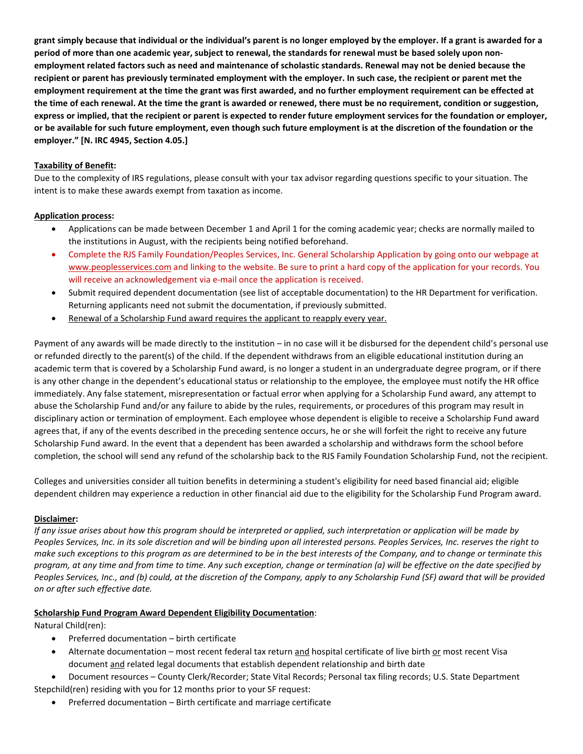**grant simply because that individual or the individual's parent is no longer employed by the employer. If a grant is awarded for a period of more than one academic year, subject to renewal, the standards for renewal must be based solely upon nonemployment related factors such as need and maintenance of scholastic standards. Renewal may not be denied because the recipient or parent has previously terminated employment with the employer. In such case, the recipient or parent met the employment requirement at the time the grant was first awarded, and no further employment requirement can be effected at the time of each renewal. At the time the grant is awarded or renewed, there must be no requirement, condition or suggestion, express or implied, that the recipient or parent is expected to render future employment services for the foundation or employer, or be available for such future employment, even though such future employment is at the discretion of the foundation or the employer." [N. IRC 4945, Section 4.05.]**

## **Taxability of Benefit:**

Due to the complexity of IRS regulations, please consult with your tax advisor regarding questions specific to your situation. The intent is to make these awards exempt from taxation as income.

## **Application process:**

- Applications can be made between December 1 and April 1 for the coming academic year; checks are normally mailed to the institutions in August, with the recipients being notified beforehand.
- Complete the RJS Family Foundation/Peoples Services, Inc. General Scholarship Application by going onto our webpage at [www.peoplesservices.com](http://www.peoplesservices.com/) and linking to the website. Be sure to print a hard copy of the application for your records. You will receive an acknowledgement via e-mail once the application is received.
- Submit required dependent documentation (see list of acceptable documentation) to the HR Department for verification. Returning applicants need not submit the documentation, if previously submitted.
- Renewal of a Scholarship Fund award requires the applicant to reapply every year.

Payment of any awards will be made directly to the institution – in no case will it be disbursed for the dependent child's personal use or refunded directly to the parent(s) of the child. If the dependent withdraws from an eligible educational institution during an academic term that is covered by a Scholarship Fund award, is no longer a student in an undergraduate degree program, or if there is any other change in the dependent's educational status or relationship to the employee, the employee must notify the HR office immediately. Any false statement, misrepresentation or factual error when applying for a Scholarship Fund award, any attempt to abuse the Scholarship Fund and/or any failure to abide by the rules, requirements, or procedures of this program may result in disciplinary action or termination of employment. Each employee whose dependent is eligible to receive a Scholarship Fund award agrees that, if any of the events described in the preceding sentence occurs, he or she will forfeit the right to receive any future Scholarship Fund award. In the event that a dependent has been awarded a scholarship and withdraws form the school before completion, the school will send any refund of the scholarship back to the RJS Family Foundation Scholarship Fund, not the recipient.

Colleges and universities consider all tuition benefits in determining a student's eligibility for need based financial aid; eligible dependent children may experience a reduction in other financial aid due to the eligibility for the Scholarship Fund Program award.

## **Disclaimer:**

*If any issue arises about how this program should be interpreted or applied, such interpretation or application will be made by Peoples Services, Inc. in its sole discretion and will be binding upon all interested persons. Peoples Services, Inc. reserves the right to make such exceptions to this program as are determined to be in the best interests of the Company, and to change or terminate this program, at any time and from time to time. Any such exception, change or termination (a) will be effective on the date specified by Peoples Services, Inc., and (b) could, at the discretion of the Company, apply to any Scholarship Fund (SF) award that will be provided on or after such effective date.*

## **Scholarship Fund Program Award Dependent Eligibility Documentation**:

Natural Child(ren):

- Preferred documentation birth certificate
- Alternate documentation most recent federal tax return and hospital certificate of live birth or most recent Visa document and related legal documents that establish dependent relationship and birth date
- Document resources County Clerk/Recorder; State Vital Records; Personal tax filing records; U.S. State Department

Stepchild(ren) residing with you for 12 months prior to your SF request:

• Preferred documentation – Birth certificate and marriage certificate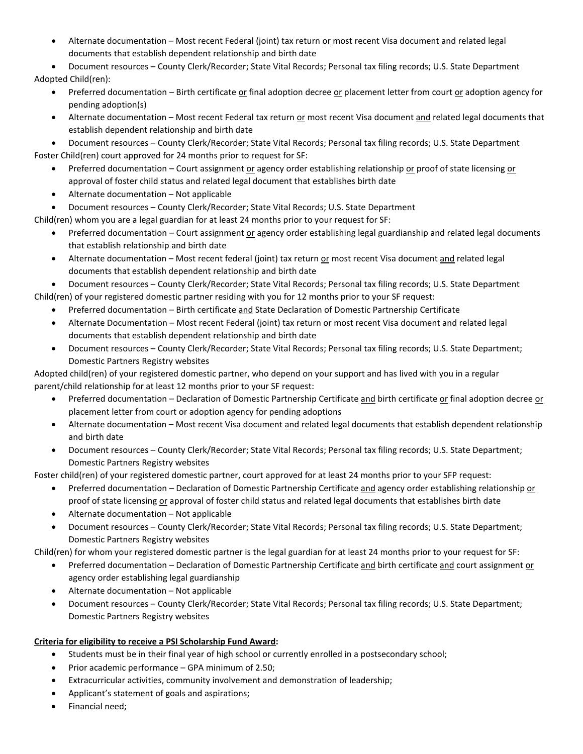Alternate documentation - Most recent Federal (joint) tax return or most recent Visa document and related legal documents that establish dependent relationship and birth date

• Document resources – County Clerk/Recorder; State Vital Records; Personal tax filing records; U.S. State Department Adopted Child(ren):

- Preferred documentation Birth certificate or final adoption decree or placement letter from court or adoption agency for pending adoption(s)
- Alternate documentation Most recent Federal tax return or most recent Visa document and related legal documents that establish dependent relationship and birth date

• Document resources – County Clerk/Recorder; State Vital Records; Personal tax filing records; U.S. State Department Foster Child(ren) court approved for 24 months prior to request for SF:

- Preferred documentation Court assignment or agency order establishing relationship or proof of state licensing or approval of foster child status and related legal document that establishes birth date
- Alternate documentation Not applicable
- Document resources County Clerk/Recorder; State Vital Records; U.S. State Department

Child(ren) whom you are a legal guardian for at least 24 months prior to your request for SF:

- Preferred documentation Court assignment or agency order establishing legal guardianship and related legal documents that establish relationship and birth date
- Alternate documentation Most recent federal (joint) tax return or most recent Visa document and related legal documents that establish dependent relationship and birth date

• Document resources – County Clerk/Recorder; State Vital Records; Personal tax filing records; U.S. State Department Child(ren) of your registered domestic partner residing with you for 12 months prior to your SF request:

- Preferred documentation Birth certificate and State Declaration of Domestic Partnership Certificate
- Alternate Documentation Most recent Federal (joint) tax return or most recent Visa document and related legal documents that establish dependent relationship and birth date
- Document resources County Clerk/Recorder; State Vital Records; Personal tax filing records; U.S. State Department; Domestic Partners Registry websites

Adopted child(ren) of your registered domestic partner, who depend on your support and has lived with you in a regular parent/child relationship for at least 12 months prior to your SF request:

- Preferred documentation Declaration of Domestic Partnership Certificate and birth certificate or final adoption decree or placement letter from court or adoption agency for pending adoptions
- Alternate documentation Most recent Visa document and related legal documents that establish dependent relationship and birth date
- Document resources County Clerk/Recorder; State Vital Records; Personal tax filing records; U.S. State Department; Domestic Partners Registry websites

Foster child(ren) of your registered domestic partner, court approved for at least 24 months prior to your SFP request:

- Preferred documentation Declaration of Domestic Partnership Certificate and agency order establishing relationship or proof of state licensing or approval of foster child status and related legal documents that establishes birth date
- Alternate documentation Not applicable
- Document resources County Clerk/Recorder; State Vital Records; Personal tax filing records; U.S. State Department; Domestic Partners Registry websites

Child(ren) for whom your registered domestic partner is the legal guardian for at least 24 months prior to your request for SF:

- Preferred documentation Declaration of Domestic Partnership Certificate and birth certificate and court assignment or agency order establishing legal guardianship
- Alternate documentation Not applicable
- Document resources County Clerk/Recorder; State Vital Records; Personal tax filing records; U.S. State Department; Domestic Partners Registry websites

## **Criteria for eligibility to receive a PSI Scholarship Fund Award:**

- Students must be in their final year of high school or currently enrolled in a postsecondary school;
- Prior academic performance GPA minimum of 2.50;
- Extracurricular activities, community involvement and demonstration of leadership;
- Applicant's statement of goals and aspirations;
- Financial need;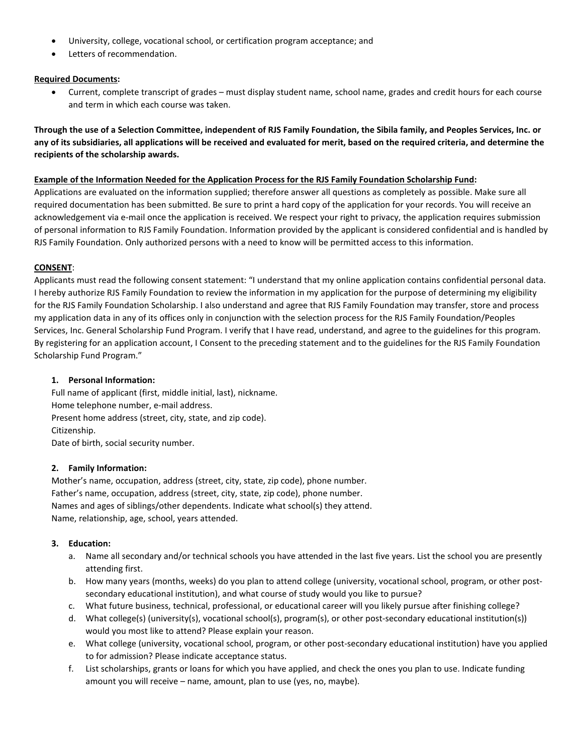- University, college, vocational school, or certification program acceptance; and
- Letters of recommendation.

## **Required Documents:**

• Current, complete transcript of grades – must display student name, school name, grades and credit hours for each course and term in which each course was taken.

**Through the use of a Selection Committee, independent of RJS Family Foundation, the Sibila family, and Peoples Services, Inc. or any of its subsidiaries, all applications will be received and evaluated for merit, based on the required criteria, and determine the recipients of the scholarship awards.**

### **Example of the Information Needed for the Application Process for the RJS Family Foundation Scholarship Fund:**

Applications are evaluated on the information supplied; therefore answer all questions as completely as possible. Make sure all required documentation has been submitted. Be sure to print a hard copy of the application for your records. You will receive an acknowledgement via e-mail once the application is received. We respect your right to privacy, the application requires submission of personal information to RJS Family Foundation. Information provided by the applicant is considered confidential and is handled by RJS Family Foundation. Only authorized persons with a need to know will be permitted access to this information.

## **CONSENT**:

Applicants must read the following consent statement: "I understand that my online application contains confidential personal data. I hereby authorize RJS Family Foundation to review the information in my application for the purpose of determining my eligibility for the RJS Family Foundation Scholarship. I also understand and agree that RJS Family Foundation may transfer, store and process my application data in any of its offices only in conjunction with the selection process for the RJS Family Foundation/Peoples Services, Inc. General Scholarship Fund Program. I verify that I have read, understand, and agree to the guidelines for this program. By registering for an application account, I Consent to the preceding statement and to the guidelines for the RJS Family Foundation Scholarship Fund Program."

## **1. Personal Information:**

Full name of applicant (first, middle initial, last), nickname. Home telephone number, e-mail address. Present home address (street, city, state, and zip code). Citizenship. Date of birth, social security number.

## **2. Family Information:**

Mother's name, occupation, address (street, city, state, zip code), phone number. Father's name, occupation, address (street, city, state, zip code), phone number. Names and ages of siblings/other dependents. Indicate what school(s) they attend. Name, relationship, age, school, years attended.

## **3. Education:**

- a. Name all secondary and/or technical schools you have attended in the last five years. List the school you are presently attending first.
- b. How many years (months, weeks) do you plan to attend college (university, vocational school, program, or other postsecondary educational institution), and what course of study would you like to pursue?
- c. What future business, technical, professional, or educational career will you likely pursue after finishing college?
- d. What college(s) (university(s), vocational school(s), program(s), or other post-secondary educational institution(s)) would you most like to attend? Please explain your reason.
- e. What college (university, vocational school, program, or other post-secondary educational institution) have you applied to for admission? Please indicate acceptance status.
- f. List scholarships, grants or loans for which you have applied, and check the ones you plan to use. Indicate funding amount you will receive – name, amount, plan to use (yes, no, maybe).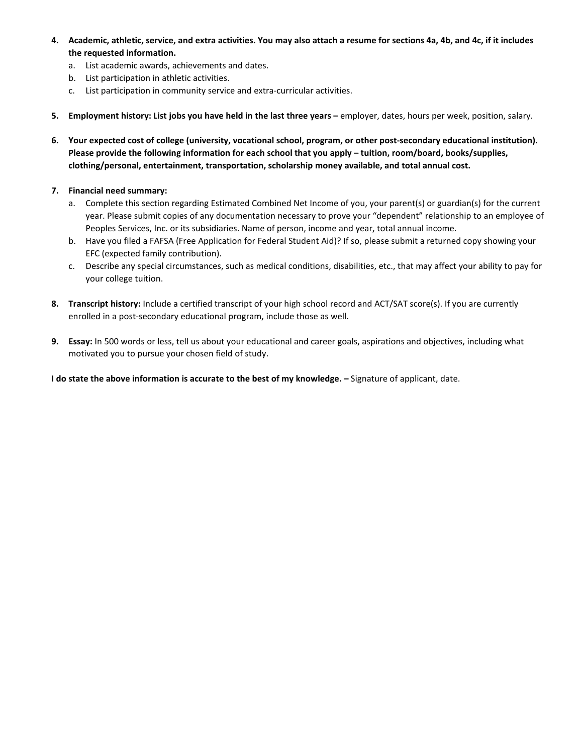- **4. Academic, athletic, service, and extra activities. You may also attach a resume for sections 4a, 4b, and 4c, if it includes the requested information.**
	- a. List academic awards, achievements and dates.
	- b. List participation in athletic activities.
	- c. List participation in community service and extra-curricular activities.
- **5. Employment history: List jobs you have held in the last three years –** employer, dates, hours per week, position, salary.
- **6. Your expected cost of college (university, vocational school, program, or other post-secondary educational institution). Please provide the following information for each school that you apply – tuition, room/board, books/supplies, clothing/personal, entertainment, transportation, scholarship money available, and total annual cost.**

## **7. Financial need summary:**

- a. Complete this section regarding Estimated Combined Net Income of you, your parent(s) or guardian(s) for the current year. Please submit copies of any documentation necessary to prove your "dependent" relationship to an employee of Peoples Services, Inc. or its subsidiaries. Name of person, income and year, total annual income.
- b. Have you filed a FAFSA (Free Application for Federal Student Aid)? If so, please submit a returned copy showing your EFC (expected family contribution).
- c. Describe any special circumstances, such as medical conditions, disabilities, etc., that may affect your ability to pay for your college tuition.
- **8. Transcript history:** Include a certified transcript of your high school record and ACT/SAT score(s). If you are currently enrolled in a post-secondary educational program, include those as well.
- **9. Essay:** In 500 words or less, tell us about your educational and career goals, aspirations and objectives, including what motivated you to pursue your chosen field of study.

**I do state the above information is accurate to the best of my knowledge. –** Signature of applicant, date.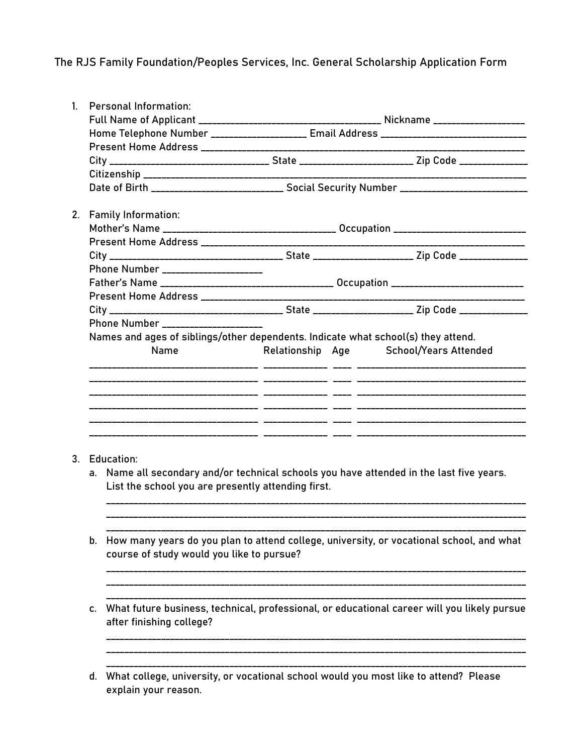The RJS Family Foundation/Peoples Services, Inc. General Scholarship Application Form

| 1 <sup>1</sup> |    | <b>Personal Information:</b>                                                                                                             |                                                                                                     |                                                                                             |  |  |  |  |
|----------------|----|------------------------------------------------------------------------------------------------------------------------------------------|-----------------------------------------------------------------------------------------------------|---------------------------------------------------------------------------------------------|--|--|--|--|
|                |    |                                                                                                                                          |                                                                                                     |                                                                                             |  |  |  |  |
|                |    |                                                                                                                                          |                                                                                                     |                                                                                             |  |  |  |  |
|                |    |                                                                                                                                          |                                                                                                     |                                                                                             |  |  |  |  |
|                |    |                                                                                                                                          |                                                                                                     |                                                                                             |  |  |  |  |
|                |    |                                                                                                                                          |                                                                                                     |                                                                                             |  |  |  |  |
|                |    |                                                                                                                                          | Date of Birth ____________________________ Social Security Number _________________________________ |                                                                                             |  |  |  |  |
|                |    | 2. Family Information:                                                                                                                   |                                                                                                     |                                                                                             |  |  |  |  |
|                |    |                                                                                                                                          | Mother's Name ___________________________________ Occupation __________________________             |                                                                                             |  |  |  |  |
|                |    |                                                                                                                                          |                                                                                                     |                                                                                             |  |  |  |  |
|                |    |                                                                                                                                          |                                                                                                     |                                                                                             |  |  |  |  |
|                |    | Phone Number _____________________                                                                                                       |                                                                                                     |                                                                                             |  |  |  |  |
|                |    |                                                                                                                                          | Father's Name __________________________________ Occupation _____________________                   |                                                                                             |  |  |  |  |
|                |    |                                                                                                                                          |                                                                                                     |                                                                                             |  |  |  |  |
|                |    |                                                                                                                                          |                                                                                                     |                                                                                             |  |  |  |  |
|                |    | Phone Number ______________________                                                                                                      |                                                                                                     |                                                                                             |  |  |  |  |
|                |    | Names and ages of siblings/other dependents. Indicate what school(s) they attend.                                                        |                                                                                                     |                                                                                             |  |  |  |  |
|                |    | Name                                                                                                                                     |                                                                                                     | Relationship Age School/Years Attended                                                      |  |  |  |  |
|                |    |                                                                                                                                          |                                                                                                     |                                                                                             |  |  |  |  |
|                |    | 3. Education:<br>List the school you are presently attending first.                                                                      |                                                                                                     | a. Name all secondary and/or technical schools you have attended in the last five years.    |  |  |  |  |
|                |    |                                                                                                                                          |                                                                                                     |                                                                                             |  |  |  |  |
|                |    | b. How many years do you plan to attend college, university, or vocational school, and what<br>course of study would you like to pursue? |                                                                                                     |                                                                                             |  |  |  |  |
|                | C. | after finishing college?                                                                                                                 |                                                                                                     | What future business, technical, professional, or educational career will you likely pursue |  |  |  |  |
|                |    |                                                                                                                                          |                                                                                                     |                                                                                             |  |  |  |  |

d. What college, university, or vocational school would you most like to attend? Please explain your reason.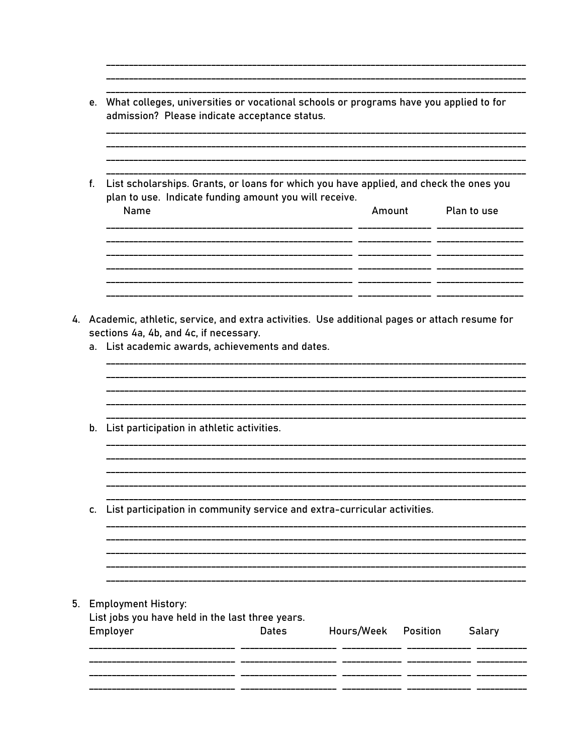| List scholarships. Grants, or loans for which you have applied, and check the ones you<br>plan to use. Indicate funding amount you will receive.<br>Name<br>_______________                   | Amount<br>______________ | Plan to use                                                                 |
|-----------------------------------------------------------------------------------------------------------------------------------------------------------------------------------------------|--------------------------|-----------------------------------------------------------------------------|
|                                                                                                                                                                                               |                          |                                                                             |
| 4. Academic, athletic, service, and extra activities. Use additional pages or attach resume for<br>sections 4a, 4b, and 4c, if necessary.<br>a. List academic awards, achievements and dates. |                          |                                                                             |
| List participation in athletic activities.                                                                                                                                                    |                          |                                                                             |
|                                                                                                                                                                                               |                          |                                                                             |
| <b>Employment History:</b>                                                                                                                                                                    |                          |                                                                             |
|                                                                                                                                                                                               |                          | c. List participation in community service and extra-curricular activities. |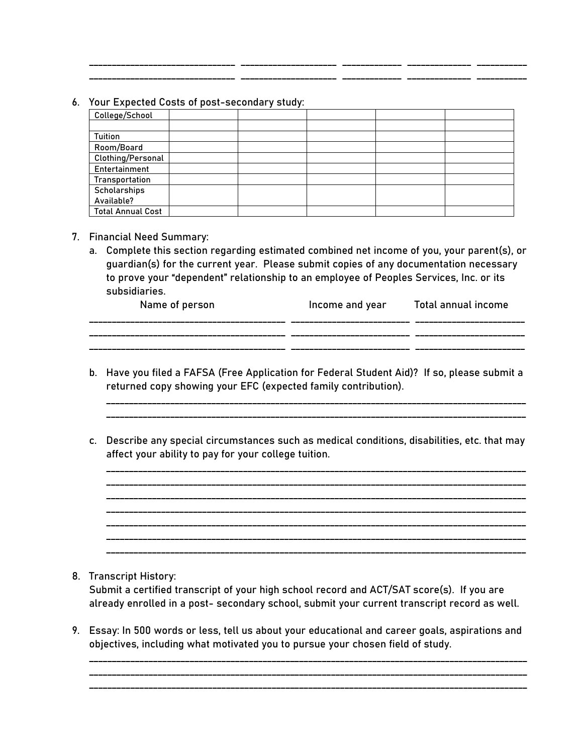|  |  | 6. Your Expected Costs of post-secondary study: |  |
|--|--|-------------------------------------------------|--|
|  |  |                                                 |  |

| College/School           |  |  |  |
|--------------------------|--|--|--|
|                          |  |  |  |
| <b>Tuition</b>           |  |  |  |
| Room/Board               |  |  |  |
| Clothing/Personal        |  |  |  |
| Entertainment            |  |  |  |
| Transportation           |  |  |  |
| Scholarships             |  |  |  |
| Available?               |  |  |  |
| <b>Total Annual Cost</b> |  |  |  |

\_\_\_\_\_\_\_\_\_\_\_\_\_\_\_\_\_\_\_\_\_\_\_\_\_\_\_\_\_\_\_\_ \_\_\_\_\_\_\_\_\_\_\_\_\_\_\_\_\_\_\_\_\_ \_\_\_\_\_\_\_\_\_\_\_\_\_ \_\_\_\_\_\_\_\_\_\_\_\_\_\_ \_\_\_\_\_\_\_\_\_\_\_ \_\_\_\_\_\_\_\_\_\_\_\_\_\_\_\_\_\_\_\_\_\_\_\_\_\_\_\_\_\_\_\_ \_\_\_\_\_\_\_\_\_\_\_\_\_\_\_\_\_\_\_\_\_ \_\_\_\_\_\_\_\_\_\_\_\_\_ \_\_\_\_\_\_\_\_\_\_\_\_\_\_ \_\_\_\_\_\_\_\_\_\_\_

- 7. Financial Need Summary:
	- a. Complete this section regarding estimated combined net income of you, your parent(s), or guardian(s) for the current year. Please submit copies of any documentation necessary to prove your "dependent" relationship to an employee of Peoples Services, Inc. or its subsidiaries.

| Name of person | Income and year | Total annual income |
|----------------|-----------------|---------------------|
|                |                 |                     |
|                |                 |                     |

b. Have you filed a FAFSA (Free Application for Federal Student Aid)? If so, please submit a returned copy showing your EFC (expected family contribution).

\_\_\_\_\_\_\_\_\_\_\_\_\_\_\_\_\_\_\_\_\_\_\_\_\_\_\_\_\_\_\_\_\_\_\_\_\_\_\_\_\_\_\_\_\_\_\_\_\_\_\_\_\_\_\_\_\_\_\_\_\_\_\_\_\_\_\_\_\_\_\_\_\_\_\_\_\_\_\_\_\_\_\_\_\_\_\_\_\_\_\_\_ \_\_\_\_\_\_\_\_\_\_\_\_\_\_\_\_\_\_\_\_\_\_\_\_\_\_\_\_\_\_\_\_\_\_\_\_\_\_\_\_\_\_\_\_\_\_\_\_\_\_\_\_\_\_\_\_\_\_\_\_\_\_\_\_\_\_\_\_\_\_\_\_\_\_\_\_\_\_\_\_\_\_\_\_\_\_\_\_\_\_\_\_

c. Describe any special circumstances such as medical conditions, disabilities, etc. that may affect your ability to pay for your college tuition.



8. Transcript History:

Submit a certified transcript of your high school record and ACT/SAT score(s). If you are already enrolled in a post- secondary school, submit your current transcript record as well.

9. Essay: In 500 words or less, tell us about your educational and career goals, aspirations and objectives, including what motivated you to pursue your chosen field of study.

\_\_\_\_\_\_\_\_\_\_\_\_\_\_\_\_\_\_\_\_\_\_\_\_\_\_\_\_\_\_\_\_\_\_\_\_\_\_\_\_\_\_\_\_\_\_\_\_\_\_\_\_\_\_\_\_\_\_\_\_\_\_\_\_\_\_\_\_\_\_\_\_\_\_\_\_\_\_\_\_\_\_\_\_\_\_\_\_\_\_\_\_\_\_\_\_ \_\_\_\_\_\_\_\_\_\_\_\_\_\_\_\_\_\_\_\_\_\_\_\_\_\_\_\_\_\_\_\_\_\_\_\_\_\_\_\_\_\_\_\_\_\_\_\_\_\_\_\_\_\_\_\_\_\_\_\_\_\_\_\_\_\_\_\_\_\_\_\_\_\_\_\_\_\_\_\_\_\_\_\_\_\_\_\_\_\_\_\_\_\_\_\_ \_\_\_\_\_\_\_\_\_\_\_\_\_\_\_\_\_\_\_\_\_\_\_\_\_\_\_\_\_\_\_\_\_\_\_\_\_\_\_\_\_\_\_\_\_\_\_\_\_\_\_\_\_\_\_\_\_\_\_\_\_\_\_\_\_\_\_\_\_\_\_\_\_\_\_\_\_\_\_\_\_\_\_\_\_\_\_\_\_\_\_\_\_\_\_\_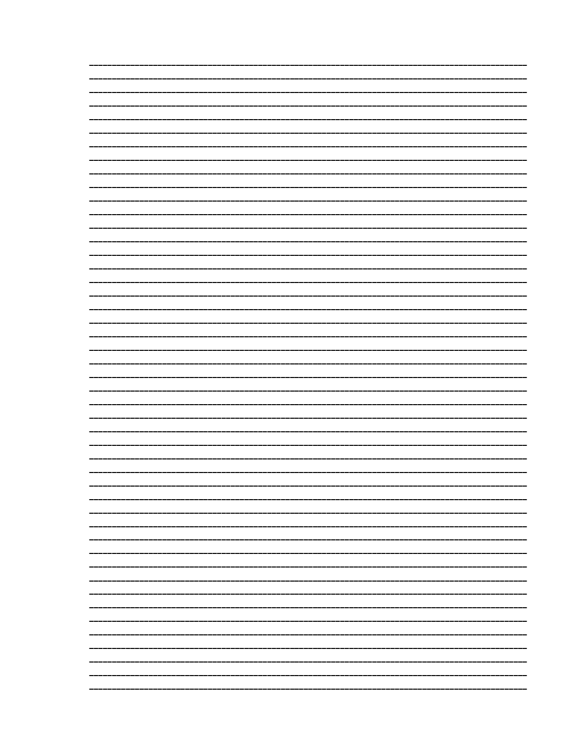| ÷ |
|---|
|   |
|   |
|   |
|   |
|   |
|   |
|   |
|   |
|   |
|   |
|   |